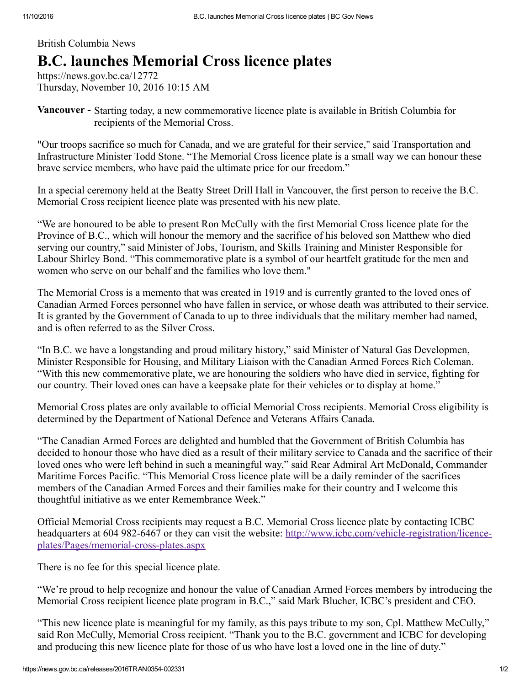## British Columbia News

# **B.C. launches Memorial Cross licence plates**

https://news.gov.bc.ca/12772 Thursday, November 10, 2016 10:15 AM

**Vancouver -** Starting today, a new commemorative licence plate is available in British Columbia for recipients of the Memorial Cross.

"Our troops sacrifice so much for Canada, and we are grateful for their service," said Transportation and Infrastructure Minister Todd Stone. "The Memorial Cross licence plate is a small way we can honour these brave service members, who have paid the ultimate price for our freedom."

In a special ceremony held at the Beatty Street Drill Hall in Vancouver, the first person to receive the B.C. Memorial Cross recipient licence plate was presented with his new plate.

"We are honoured to be able to present Ron McCully with the first Memorial Cross licence plate for the Province of B.C., which will honour the memory and the sacrifice of his beloved son Matthew who died serving our country," said Minister of Jobs, Tourism, and Skills Training and Minister Responsible for Labour Shirley Bond. "This commemorative plate is a symbol of our heartfelt gratitude for the men and women who serve on our behalf and the families who love them."

The Memorial Cross is a memento that was created in 1919 and is currently granted to the loved ones of Canadian Armed Forces personnel who have fallen in service, or whose death was attributed to their service. It is granted by the Government of Canada to up to three individuals that the military member had named, and is often referred to as the Silver Cross.

"In B.C. we have a longstanding and proud military history," said Minister of Natural Gas Developmen, Minister Responsible for Housing, and Military Liaison with the Canadian Armed Forces Rich Coleman. "With this new commemorative plate, we are honouring the soldiers who have died in service, fighting for our country. Their loved ones can have a keepsake plate for their vehicles or to display at home."

Memorial Cross plates are only available to official Memorial Cross recipients. Memorial Cross eligibility is determined by the Department of National Defence and Veterans Affairs Canada.

"The Canadian Armed Forces are delighted and humbled that the Government of British Columbia has decided to honour those who have died as a result of their military service to Canada and the sacrifice of their loved ones who were left behind in such a meaningful way," said Rear Admiral Art McDonald, Commander Maritime Forces Pacific. "This Memorial Cross licence plate will be a daily reminder of the sacrifices members of the Canadian Armed Forces and their families make for their country and I welcome this thoughtful initiative as we enter Remembrance Week."

Official Memorial Cross recipients may request a B.C. Memorial Cross licence plate by contacting ICBC headquarters at 604 982-6467 or they can visit the website: http://www.icbc.com/vehicle-registration/licenceplates/Pages/memorial-cross-plates.aspx

There is no fee for this special licence plate.

"We're proud to help recognize and honour the value of Canadian Armed Forces members by introducing the Memorial Cross recipient licence plate program in B.C.," said Mark Blucher, ICBC's president and CEO.

"This new licence plate is meaningful for my family, as this pays tribute to my son, Cpl. Matthew McCully," said Ron McCully, Memorial Cross recipient. "Thank you to the B.C. government and ICBC for developing and producing this new licence plate for those of us who have lost a loved one in the line of duty."